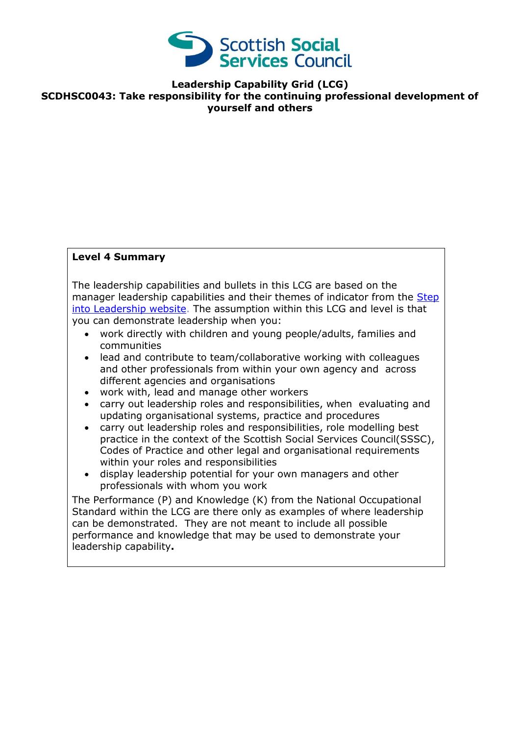

**Leadership Capability Grid (LCG) SCDHSC0043: Take responsibility for the continuing professional development of yourself and others** 

## **Level 4 Summary**

The leadership capabilities and bullets in this LCG are based on the manager leadership capabilities and their themes of indicator from the Step [into Leadership website.](http://www.stepintoleadership.info/) The assumption within this LCG and level is that you can demonstrate leadership when you:

- work directly with children and young people/adults, families and communities
- lead and contribute to team/collaborative working with colleagues and other professionals from within your own agency and across different agencies and organisations
- work with, lead and manage other workers
- carry out leadership roles and responsibilities, when evaluating and updating organisational systems, practice and procedures
- carry out leadership roles and responsibilities, role modelling best practice in the context of the Scottish Social Services Council(SSSC), Codes of Practice and other legal and organisational requirements within your roles and responsibilities
- display leadership potential for your own managers and other professionals with whom you work

The Performance (P) and Knowledge (K) from the National Occupational Standard within the LCG are there only as examples of where leadership can be demonstrated. They are not meant to include all possible performance and knowledge that may be used to demonstrate your leadership capability**.**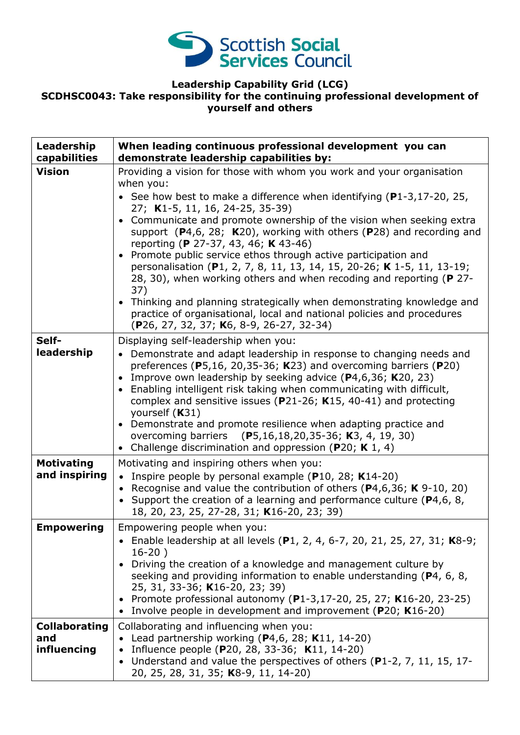

## **Leadership Capability Grid (LCG) SCDHSC0043: Take responsibility for the continuing professional development of yourself and others**

| Leadership<br>capabilities                 | When leading continuous professional development you can<br>demonstrate leadership capabilities by:                                                                                                                                                                                                                                                                                                                                                                                                                                                                                                                                                                                                                                                                                                                  |
|--------------------------------------------|----------------------------------------------------------------------------------------------------------------------------------------------------------------------------------------------------------------------------------------------------------------------------------------------------------------------------------------------------------------------------------------------------------------------------------------------------------------------------------------------------------------------------------------------------------------------------------------------------------------------------------------------------------------------------------------------------------------------------------------------------------------------------------------------------------------------|
| <b>Vision</b>                              | Providing a vision for those with whom you work and your organisation<br>when you:<br>• See how best to make a difference when identifying (P1-3,17-20, 25,<br>27; K1-5, 11, 16, 24-25, 35-39)<br>• Communicate and promote ownership of the vision when seeking extra<br>support $(P4,6, 28; K20)$ , working with others $(P28)$ and recording and<br>reporting (P 27-37, 43, 46; K 43-46)<br>Promote public service ethos through active participation and<br>personalisation (P1, 2, 7, 8, 11, 13, 14, 15, 20-26; K 1-5, 11, 13-19;<br>28, 30), when working others and when recoding and reporting (P 27-<br>37)<br>• Thinking and planning strategically when demonstrating knowledge and<br>practice of organisational, local and national policies and procedures<br>(P26, 27, 32, 37; K6, 8-9, 26-27, 32-34) |
| Self-<br>leadership                        | Displaying self-leadership when you:<br>• Demonstrate and adapt leadership in response to changing needs and<br>preferences (P5,16, 20,35-36; K23) and overcoming barriers (P20)<br>Improve own leadership by seeking advice (P4,6,36; K20, 23)<br>$\bullet$<br>Enabling intelligent risk taking when communicating with difficult,<br>complex and sensitive issues ( $P21-26$ ; K15, 40-41) and protecting<br>yourself (K31)<br>Demonstrate and promote resilience when adapting practice and<br>$\bullet$<br>overcoming barriers (P5,16,18,20,35-36; K3, 4, 19, 30)<br>• Challenge discrimination and oppression (P20; K 1, 4)                                                                                                                                                                                     |
| <b>Motivating</b><br>and inspiring         | Motivating and inspiring others when you:<br>• Inspire people by personal example (P10, 28; K14-20)<br>Recognise and value the contribution of others ( $P4,6,36$ ; K 9-10, 20)<br>• Support the creation of a learning and performance culture ( $P4,6,8,$<br>18, 20, 23, 25, 27-28, 31; K16-20, 23; 39)                                                                                                                                                                                                                                                                                                                                                                                                                                                                                                            |
| <b>Empowering</b>                          | Empowering people when you:<br>• Enable leadership at all levels (P1, 2, 4, 6-7, 20, 21, 25, 27, 31; K8-9;<br>$16-20)$<br>Driving the creation of a knowledge and management culture by<br>seeking and providing information to enable understanding (P4, 6, 8,<br>25, 31, 33-36; K16-20, 23; 39)<br>• Promote professional autonomy (P1-3,17-20, 25, 27; K16-20, 23-25)<br>• Involve people in development and improvement (P20; K16-20)                                                                                                                                                                                                                                                                                                                                                                            |
| <b>Collaborating</b><br>and<br>influencing | Collaborating and influencing when you:<br>• Lead partnership working ( $P4,6$ , 28; K11, 14-20)<br>Influence people (P20, 28, 33-36; K11, 14-20)<br>Understand and value the perspectives of others (P1-2, 7, 11, 15, 17-<br>٠<br>20, 25, 28, 31, 35; K8-9, 11, 14-20)                                                                                                                                                                                                                                                                                                                                                                                                                                                                                                                                              |